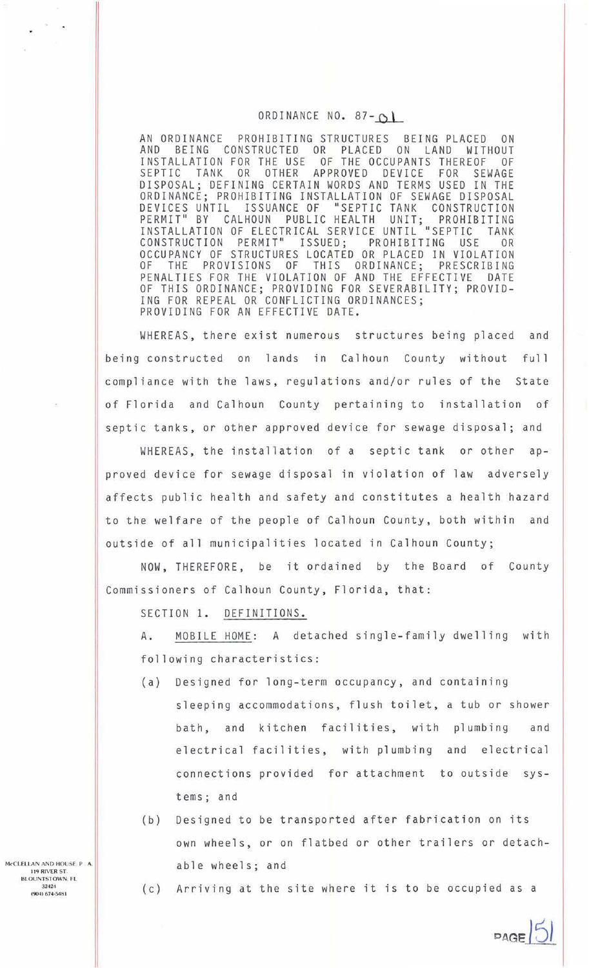## ORDINANCE NO. 87- $O$

AN ORDINANCE PROHIBITING STRUCTURES BEING PLACED ON AND BEING CONSTRUCTED OR PLACED ON LAND WITHOUT INSTALLATION FOR THE USE OF THE OCCUPANTS THEREOF OF AND BEING CONSTRUCTED OR PLACED ON LAND WITHOUT<br>INSTALLATION FOR THE USE OF THE OCCUPANTS THEREOF OF<br>SEPTIC TANK OR OTHER APPROVED DEVICE FOR SEWAGE DISPOSAL; DEFINING CERTAIN WORDS AND TERMS USED IN THE ORDINANCE; PROHIBITING INSTALLATION OF SEWAGE DISPOSAL<br>DEVICES UNTIL ISSUANCE OF "SEPTIC TANK CONSTRUCTION DEVICES UNTIL ISSUANCE OF "SEPTIC TANK CONSTRUCTION<br>PERMIT" BY CALHOUN PUBLIC HEALTH UNIT; PROHIBITING  $\frac{UNIT}{T1}$ ; PROHIBITING PUBLIC PUBLIC PUBLIC PUBLIC PUBLIC PUBLIC PUBLIC PUBLIC PUBLIC PUBLIC PUBLIC PUBLIC PUBLIC PUBLIC PUBLIC PUBLIC PUBLIC PUBLIC PUBLIC PUBLIC PUBLIC PUBLIC PUBLIC PUBLIC PUBLIC PUBLIC PUBLIC PUBLIC INSTALLATION OF ELECTRICAL SERVICE UNTIL "SEPTIC TANK CONSTRUCTION PERMIT" ISSUED; PROHIBITING USE OR OCCUPANCY OF STRUCTURES LOCATED OR PLACED IN VIOLATION<br>OF THE PROVISIONS OF THIS ORDINANCE: PRESCRIBING OF THE PROVISIONS OF THIS ORDINANCE; PRESCRIBING PENALTIES FOR THE VIOLATION OF AND THE EFFECTIVE DATE OF THIS ORDINANCE; PROVIDING FOR SEVERABILITY; PROVID-ING FOR REPEAL OR CONFLICTING ORDINANCES; PROVIDING FOR AN EFFECTIVE DATE.

WHEREAS, there exist numerous structures being placed and being constructed on lands in Calhoun County without full compliance with the laws, regulations and/or rules of the State of Florida and Calhoun County pertaining to installation of septic tanks, or other approved device for sewage disposal; and

WHEREAS, the installation of a septic tank or other approved device for sewage disposal in violation of law adversely affects public health and safety and constitutes a health hazard to the welfare of the people of Calhoun County, both within and outside of all municipalities located in Calhoun County;

NOW, THEREFORE, be it ordained by the Board of County Commissioners of Calhoun County, Florida, that:

SECTION 1. DEFINITIONS.

A. MOBILE HOME: A detached single-family dwelling with following characteristics:

- (a) Designed for long-term occupancy, and containing sleeping accommodations, flush toilet, a tub or shower bath, and kitchen facilities, with plumbing and electrical facilities, with plumbing and electrical connections provided for attachment to outside systems; and
- (b) Designed to be transported after fabrication on its own wheels, or on flatbed or other trailers or detachable wheels; and
- (c) Arriving at the site where it is to be occupied as a

M<CLELLAN ANO HOUSE. P . A. 119 RIVER ST. BLOUNTSTOWN. FL 32424 (904) 674-5481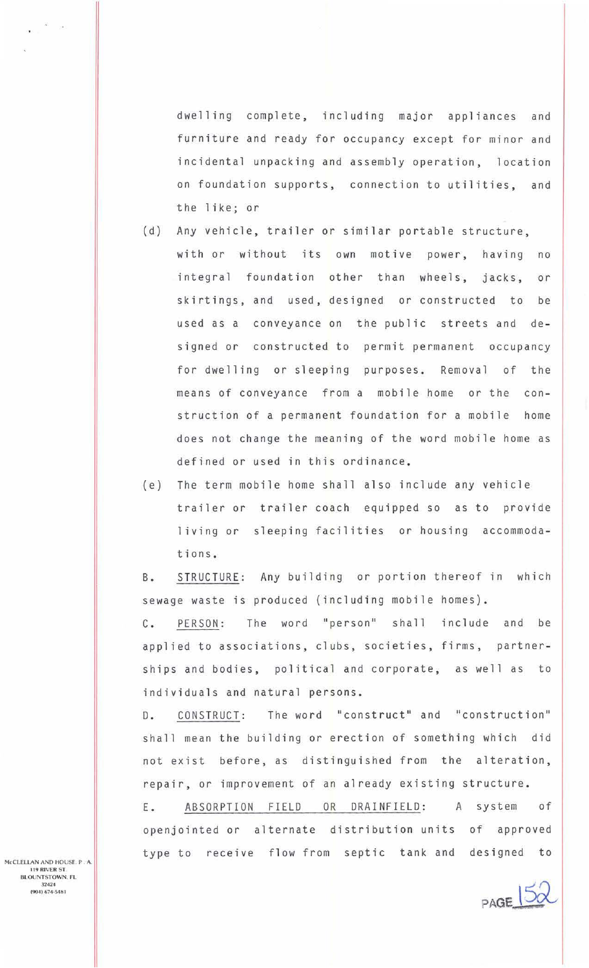dwelling complete, including major appliances and furniture and ready for occupancy except for minor and incidental unpacking and assembly operation, location on foundation supports, connection to utilities, and the like; or

- (d) Any vehicle, trailer or similar portable structure, with or without its own motive power, having no integral foundation other than wheels, jacks, or skirtings, and used, designed or constructed to be used as a conveyance on the public streets and designed or constructed to permit permanent occupancy for dwelling or sleeping purposes. Removal of the means of conveyance from a mobile home or the construction of a permanent foundation for a mobile home does not change the meaning of the word mobile home as defined or used in this ordinance .
- (e) The term mobile home shall also include any vehicle trailer or trailer coach equipped so as to provide living or sleeping facilities or housing accommodations.

B. STRUCTURE: Any building or portion thereof in which sewage waste is produced (including mobile homes) .

C. PERSON: The word "person" shall include and be applied to associations, clubs, societies, firms, partnerships and bodies, political and corporate, as well as to individuals and natural persons.

D. CONSTRUCT: The word "construct" and "construction" shall mean the building or erection of something which did not exist before, as distinguished from the alteration, repair, or improvement of an already existing structure .

E. ABSORPTION FIELD OR DRAINFIELD: A system of openjointed or alternate distribution units of approved type to receive flow from septic tank and designed to

 $PAGE \overline{52}$ 

McCLELLAN AND HOUSE. P . A. I 19 RIVER ST. BLOUNTSTOWN. FL 32424 (904) 674·5481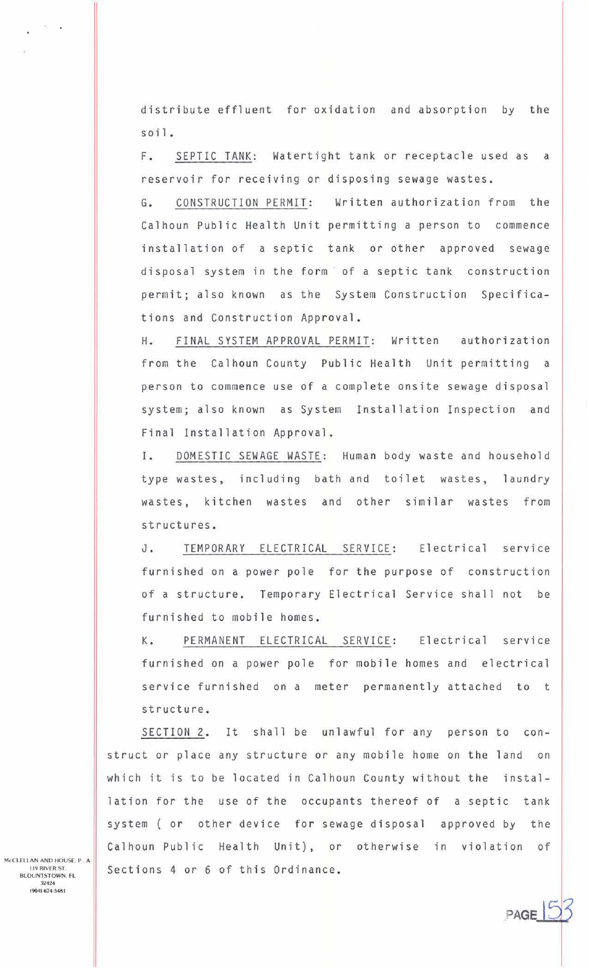distribute effluent for oxidation and absorption by the soil.

F. SEPTIC TANK: Watertight tank or receptacle used as a reservoir for receiving or disposing sewage wastes.

G. CONSTRUCTION PERMIT: Written authorization from the Calhoun Public Health Unit permitting a person to commence installation of a septic tank or other approved sewage disposal system in the form of a septic tank construction permit; also known as the System Construction Specifications and Construction Approval.

H. FINAL SYSTEM APPROVAL PERMIT: Written authorization from the Calhoun County Public Health Unit permitting a person to commence use of a complete onsite sewage disposal system; also known as System Installation Inspection and Final Installation Approval.

I. DOMESTIC SEWAGE WASTE: Human body waste and household type wastes, including bath and toilet wastes, laundry wastes, kitchen wastes and other similar wastes from structures.

J. TEMPORARY ELECTRICAL SERVICE: Electrical service furnished on a power pole for the purpose of construction of a structure. Temporary Electrical Service shall not be furnished to mobile homes.

K. PERMANENT ELECTRICAL SERVICE: Electrical service furnished on a power pole for mobile homes and electrical service furnished on a meter permanently attached to t structure.

SECTION 2. It shall be unlawful for any person to construct or place any structure or any mobile home on the land on which it is to be located in Calhoun County without the installation for the use of the occupants thereof of a septic tank system ( or other device for sewage disposal approved by the Calhoun Public Health Unit), or otherwise in violation of Sections 4 or 6 of this Ordinance.

PAGE

McCLELLAN AND HOUSE. P. A. **119 RIVER ST** BLOUNTSTOWN. FL 32424 (904) 674·5461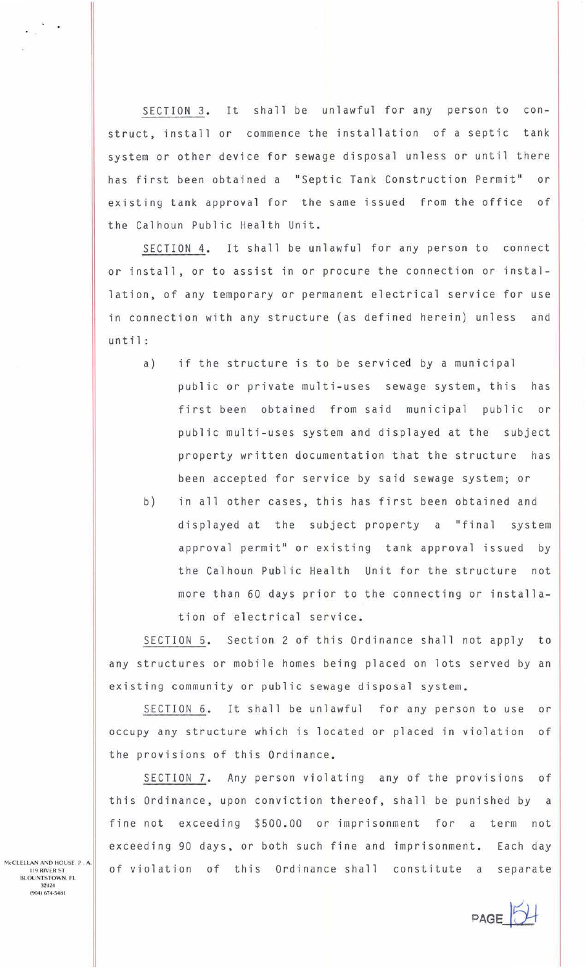SECTION 3. It shall be unlawful for any person to construct, install or commence the installation of a septic tank system or other device for sewage disposal unless or until there has first been obtained a "Septic Tank Construction Permit" or existing tank approval for the same issued from the office of the Calhoun Public Health Unit.

SECTION 4. It shall be unlawful for any person to connect or install, or to assist in or procure the connection or installation, of any temporary or permanent electrical service for use in connection with any structure (as defined herein) unless and until:

- a) if the structure is to be serviced by a municipal public or private multi-uses sewage system, this has first been obtained from said municipal public or public multi-uses system and displayed at the subject property written documentation that the structure has been accepted for service by said sewage system; or
- b) in all other cases, this has first been obtained and displayed at the subject property a "final system approval permit" or existing tank approval issued by the Calhoun Public Health Unit for the structure not more than 60 days prior to the connecting or installation of electrical service .

SECTION 5. Section 2 of this Ordinance shall not apply to any structures or mobile homes being placed on lots served by an existing community or public sewage disposal system.

SECTION 6. It shall be unlawful for any person to use or occupy any structure which is located or placed in violation of the provisions of this Ordinance.

SECTION 7. Any person violating any of the provisions of this Ordinance, upon conviction thereof, shall be punished by a fine not exceeding \$500.00 or imprisonment for a term not exceeding 90 days, or both such fine and imprisonment. Each day of violation of this Ordinance shall constitute a separate

McCLELLAN AND HOUSE. P. A. **119 RIVER ST.** BLOUNTSTOWN. FL 32424

**PAGE**